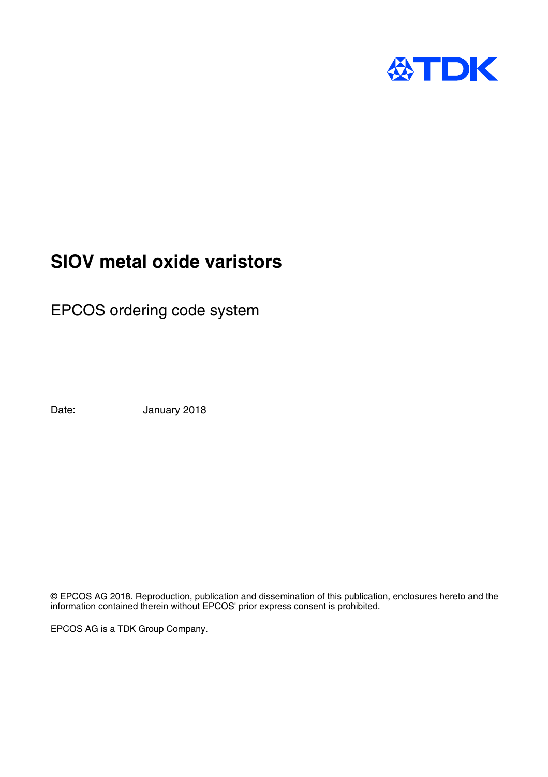

# **SIOV metal oxide varistors**

EPCOS ordering code system

Date: January 2018

© EPCOS AG 2018. Reproduction, publication and dissemination of this publication, enclosures hereto and the information contained therein without EPCOS' prior express consent is prohibited.

EPCOS AG is a TDK Group Company.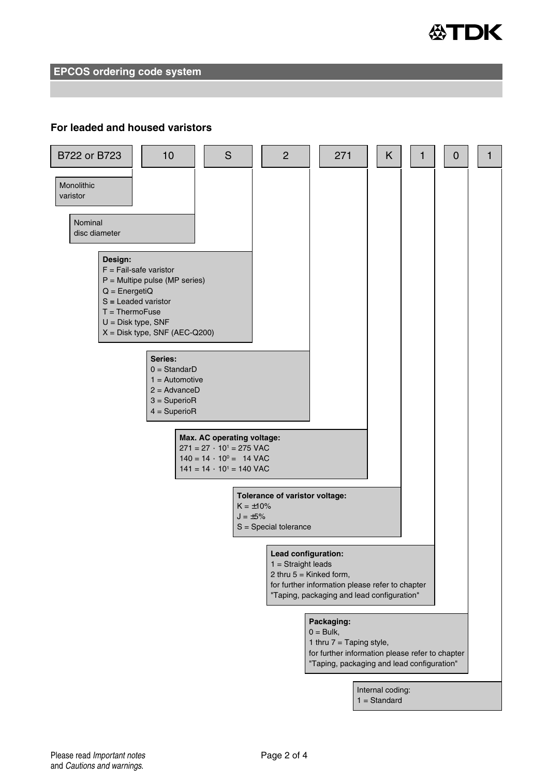

**EPCOS ordering code system**

### **For leaded and housed varistors**

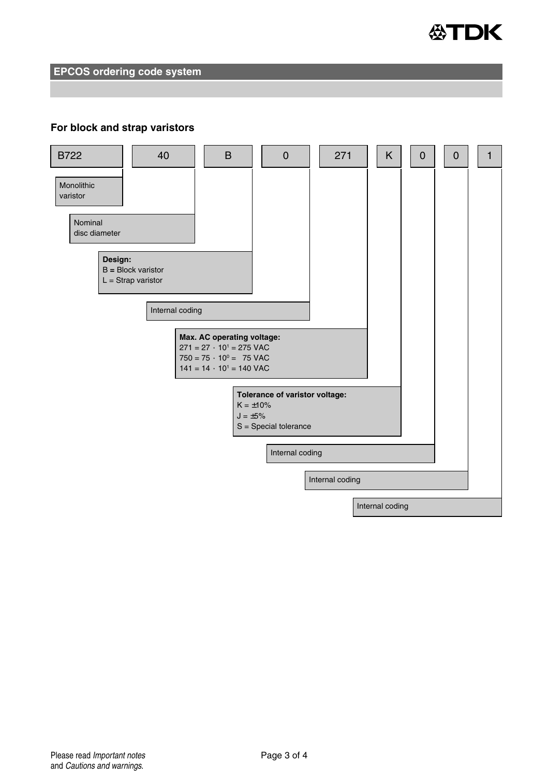

**EPCOS ordering code system**

#### **For block and strap varistors**